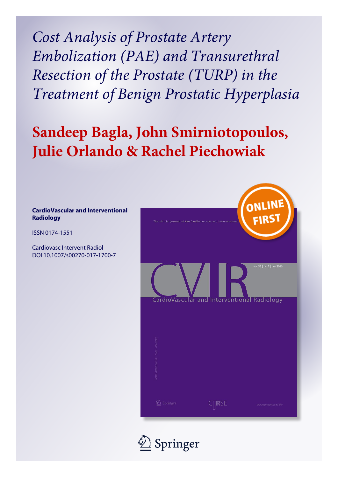*Cost Analysis of Prostate Artery Embolization (PAE) and Transurethral Resection of the Prostate (TURP) in the Treatment of Benign Prostatic Hyperplasia*

# **Sandeep Bagla, John Smirniotopoulos, Julie Orlando & Rachel Piechowiak**

# **CardioVascular and Interventional Radiology**

ISSN 0174-1551

Cardiovasc Intervent Radiol DOI 10.1007/s00270-017-1700-7



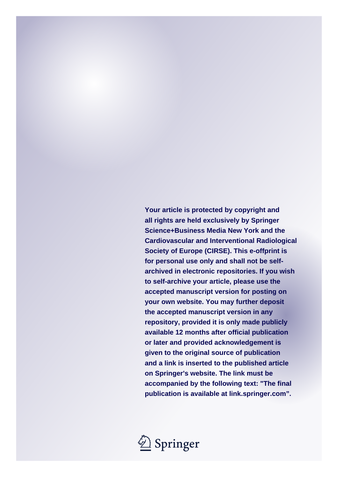**Your article is protected by copyright and all rights are held exclusively by Springer Science+Business Media New York and the Cardiovascular and Interventional Radiological Society of Europe (CIRSE). This e-offprint is for personal use only and shall not be selfarchived in electronic repositories. If you wish to self-archive your article, please use the accepted manuscript version for posting on your own website. You may further deposit the accepted manuscript version in any repository, provided it is only made publicly available 12 months after official publication or later and provided acknowledgement is given to the original source of publication and a link is inserted to the published article on Springer's website. The link must be accompanied by the following text: "The final publication is available at link.springer.com".**

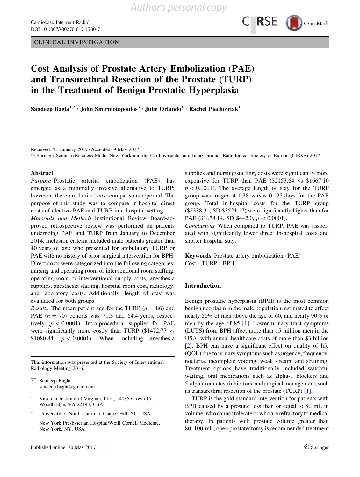

# Cost Analysis of Prostate Artery Embolization (PAE) and Transurethral Resection of the Prostate (TURP) in the Treatment of Benign Prostatic Hyperplasia

Sandeep Bagla<sup>1,2</sup> • John Smirniotopoulos<sup>3</sup> • Julie Orlando<sup>1</sup> • Rachel Piechowiak<sup>1</sup>

Received: 21 January 2017 / Accepted: 9 May 2017

© Springer Science+Business Media New York and the Cardiovascular and Interventional Radiological Society of Europe (CIRSE) 2017

#### Abstract

Purpose Prostatic arterial embolization (PAE) has emerged as a minimally invasive alternative to TURP; however, there are limited cost comparisons reported. The purpose of this study was to compare in-hospital direct costs of elective PAE and TURP in a hospital setting.

Materials and Methods Institutional Review Board-approved retrospective review was performed on patients undergoing PAE and TURP from January to December 2014. Inclusion criteria included male patients greater than 40 years of age who presented for ambulatory TURP or PAE with no history of prior surgical intervention for BPH. Direct costs were categorized into the following categories: nursing and operating room or interventional room staffing, operating room or interventional supply costs, anesthesia supplies, anesthesia staffing, hospital room cost, radiology, and laboratory costs. Additionally, length of stay was evaluated for both groups.

*Results* The mean patient age for the TURP ( $n = 86$ ) and PAE  $(n = 70)$  cohorts was 71.3 and 64.4 years, respectively ( $p < 0.0001$ ). Intra-procedural supplies for PAE were significantly more costly than TURP (\$1472.77 vs \$1080.84,  $p < 0.0001$ ). When including anesthesia

This information was presented at the Society of Interventional Radiology Meeting 2016.

- <sup>1</sup> Vascular Institute of Virginia, LLC, 14085 Crown Ct., Woodbridge, VA 22193, USA
- <sup>2</sup> University of North Carolina, Chapel Hill, NC, USA
- <sup>3</sup> New York Presbyterian Hospital/Weill Cornell Medicine, New York, NY, USA

supplies and nursing/staffing, costs were significantly more expensive for TURP than PAE (\$2153.64 vs \$1667.10  $p<0.0001$ ). The average length of stay for the TURP group was longer at 1.38 versus 0.125 days for the PAE group. Total in-hospital costs for the TURP group (\$5338.31, SD \$3521.17) were significantly higher than for PAE (\$1678.14, SD \$442.0,  $p < 0.0001$ ).

Conclusions When compared to TURP, PAE was associated with significantly lower direct in-hospital costs and shorter hospital stay.

Keywords Prostate artery embolization (PAE) - Cost · TURP · BPH

## Introduction

Benign prostatic hyperplasia (BPH) is the most common benign neoplasm in the male population, estimated to affect nearly 50% of men above the age of 60, and nearly 90% of men by the age of 85 [\[1](#page-5-0)]. Lower urinary tract symptoms (LUTS) from BPH affect more than 15 million men in the USA, with annual healthcare costs of more than \$3 billion [\[2](#page-5-0)]. BPH can have a significant effect on quality of life (QOL) due to urinary symptoms such as urgency, frequency, nocturia, incomplete voiding, weak stream, and straining. Treatment options have traditionally included watchful waiting, oral medications such as alpha-1 blockers and 5-alpha-reductase inhibitors, and surgical management, such as transurethral resection of the prostate (TURP) [\[1](#page-5-0)].

TURP is the gold-standard intervention for patients with BPH caused by a prostate less than or equal to 80 mL in volume, who cannot tolerate or who are refractory to medical therapy. In patients with prostate volume greater than 80–100 mL, open prostatectomy is recommended treatment

 $\boxtimes$  Sandeep Bagla sandeep.bagla@gmail.com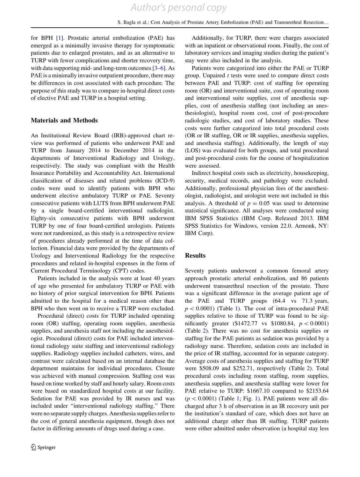for BPH [\[1](#page-5-0)]. Prostatic arterial embolization (PAE) has emerged as a minimally invasive therapy for symptomatic patients due to enlarged prostates, and as an alternative to TURP with fewer complications and shorter recovery time, with data supporting mid- and long-term outcomes [[3–6](#page-5-0)]. As PAE is a minimally invasive outpatient procedure, there may be differences in cost associated with each procedure. The purpose of this study was to compare in-hospital direct costs of elective PAE and TURP in a hospital setting.

#### Materials and Methods

An Institutional Review Board (IRB)-approved chart review was performed of patients who underwent PAE and TURP from January 2014 to December 2014 in the departments of Interventional Radiology and Urology, respectively. The study was compliant with the Health Insurance Portability and Accountability Act. International classification of diseases and related problems (ICD-9) codes were used to identify patients with BPH who underwent elective ambulatory TURP or PAE. Seventy consecutive patients with LUTS from BPH underwent PAE by a single board-certified interventional radiologist. Eighty-six consecutive patients with BPH underwent TURP by one of four board-certified urologists. Patients were not randomized, as this study is a retrospective review of procedures already performed at the time of data collection. Financial data were provided by the departments of Urology and Interventional Radiology for the respective procedures and related in-hospital expenses in the form of Current Procedural Terminology (CPT) codes.

Patients included in the analysis were at least 40 years of age who presented for ambulatory TURP or PAE with no history of prior surgical intervention for BPH. Patients admitted to the hospital for a medical reason other than BPH who then went on to receive a TURP were excluded.

Procedural (direct) costs for TURP included operating room (OR) staffing, operating room supplies, anesthesia supplies, and anesthesia staff not including the anesthesiologist. Procedural (direct) costs for PAE included interventional radiology suite staffing and interventional radiology supplies. Radiology supplies included catheters, wires, and contrast were calculated based on an internal database the department maintains for individual procedures. Closure was achieved with manual compression. Staffing cost was based on time worked by staff and hourly salary. Room costs were based on standardized hospital costs at our facility. Sedation for PAE was provided by IR nurses and was included under ''interventional radiology staffing.'' There were no separate supply charges. Anesthesia supplies refer to the cost of general anesthesia equipment, though does not factor in differing amounts of drugs used during a case.

Additionally, for TURP, there were charges associated with an inpatient or observational room. Finally, the cost of laboratory services and imaging studies during the patient's stay were also included in the analysis.

Patients were categorized into either the PAE or TURP group. Unpaired  $t$  tests were used to compare direct costs between PAE and TURP: cost of staffing for operating room (OR) and interventional suite, cost of operating room and interventional suite supplies, cost of anesthesia supplies, cost of anesthesia staffing (not including an anesthesiologist), hospital room cost, cost of post-procedure radiologic studies, and cost of laboratory studies. These costs were further categorized into total procedural costs (OR or IR staffing, OR or IR supplies, anesthesia supplies, and anesthesia staffing). Additionally, the length of stay (LOS) was evaluated for both groups, and total procedural and post-procedural costs for the course of hospitalization were assessed.

Indirect hospital costs such as electricity, housekeeping, security, medical records, and pathology were excluded. Additionally, professional physician fees of the anesthesiologist, radiologist, and urologist were not included in this analysis. A threshold of  $p = 0.05$  was used to determine statistical significance. All analyses were conducted using IBM SPSS Statistics (IBM Corp. Released 2013. IBM SPSS Statistics for Windows, version 22.0. Armonk, NY: IBM Corp).

## **Results**

Seventy patients underwent a common femoral artery approach prostatic arterial embolization, and 86 patients underwent transurethral resection of the prostate. There was a significant difference in the average patient age of the PAE and TURP groups (64.4 vs 71.3 years,  $p < 0.0001$ ) (Table [1\)](#page-4-0). The cost of intra-procedural PAE supplies relative to those of TURP was found to be significantly greater (\$1472.77 vs \$1080.84,  $p < 0.0001$ ) (Table [2\)](#page-4-0). There was no cost for anesthesia supplies or staffing for the PAE patients as sedation was provided by a radiology nurse. Therefore, sedation costs are included in the price of IR staffing, accounted for in separate category. Average costs of anesthesia supplies and staffing for TURP were \$508.09 and \$252.71, respectively (Table [2\)](#page-4-0). Total procedural costs including room staffing, room supplies, anesthesia supplies, and anesthesia staffing were lower for PAE relative to TURP: \$1667.10 compared to \$2153.64  $(p<0.0001)$  $(p<0.0001)$  $(p<0.0001)$  (Table 1; Fig. [1\)](#page-4-0). PAE patients were all discharged after 3 h of observation in an IR recovery unit per the institution's standard of care, which does not have an additional charge other than IR staffing. TURP patients were either admitted under observation (a hospital stay less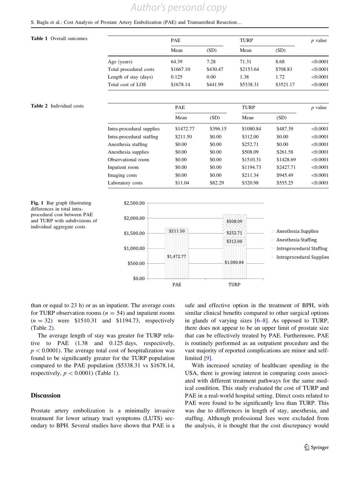# *Author's personal copy*

# <span id="page-4-0"></span>S. Bagla et al.: Cost Analysis of Prostate Artery Embolization (PAE) and Transurethral Resection…

# Table 1 Overall outcomes

| PAE       |          | TURP      |           | $p$ value |
|-----------|----------|-----------|-----------|-----------|
| Mean      | (SD)     | Mean      | (SD)      |           |
| 64.39     | 7.28     | 71.31     | 8.68      | < 0.0001  |
| \$1667.10 | \$430.47 | \$2153.64 | \$708.83  | < 0.0001  |
| 0.125     | 0.00     | 1.38      | 1.72      | < 0.0001  |
| \$1678.14 | \$441.99 | \$5338.31 | \$3521.17 | < 0.0001  |
|           |          |           |           |           |

#### Table 2 Individual costs

|                           | <b>PAE</b> |          | TURP      |           | $p$ value |  |  |  |
|---------------------------|------------|----------|-----------|-----------|-----------|--|--|--|
|                           | Mean       | (SD)     | Mean      | (SD)      |           |  |  |  |
| Intra-procedural supplies | \$1472.77  | \$396.15 | \$1080.84 | \$487.39  | < 0.0001  |  |  |  |
| Intra-procedural staffing | \$211.50   | \$0.00   | \$312.00  | \$0.00    | < 0.0001  |  |  |  |
| Anesthesia staffing       | \$0.00     | \$0.00   | \$252.71  | \$0.00    | < 0.0001  |  |  |  |
| Anesthesia supplies       | \$0.00     | \$0.00   | \$508.09  | \$261.58  | < 0.0001  |  |  |  |
| Observational room        | \$0.00     | \$0.00   | \$1510.31 | \$1428.69 | < 0.0001  |  |  |  |
| Inpatient room            | \$0.00     | \$0.00   | \$1194.73 | \$2427.71 | < 0.0001  |  |  |  |
| Imaging costs             | \$0.00     | \$0.00   | \$211.34  | \$945.49  | < 0.0001  |  |  |  |
| Laboratory costs          | \$11.04    | \$82.29  | \$320.98  | \$555.25  | < 0.0001  |  |  |  |
|                           |            |          |           |           |           |  |  |  |



Fig. 1 Bar graph illustrating differences in total intraprocedural cost between PAE and TURP with subdivisions of individual aggregate costs

than or equal to 23 h) or as an inpatient. The average costs for TURP observation rooms ( $n = 54$ ) and inpatient rooms  $(n = 32)$  were \$1510.31 and \$1194.73, respectively (Table 2).

The average length of stay was greater for TURP relative to PAE (1.38 and 0.125 days, respectively,  $p\lt 0.0001$ ). The average total cost of hospitalization was found to be significantly greater for the TURP population compared to the PAE population (\$5338.31 vs \$1678.14, respectively,  $p < 0.0001$ ) (Table 1).

# **Discussion**

Prostate artery embolization is a minimally invasive treatment for lower urinary tract symptoms (LUTS) secondary to BPH. Several studies have shown that PAE is a safe and effective option in the treatment of BPH, with similar clinical benefits compared to other surgical options in glands of varying sizes  $[6-8]$ . As opposed to TURP, there does not appear to be an upper limit of prostate size that can be effectively treated by PAE. Furthermore, PAE is routinely performed as an outpatient procedure and the vast majority of reported complications are minor and self-limited [\[9](#page-5-0)].

With increased scrutiny of healthcare spending in the USA, there is growing interest in comparing costs associated with different treatment pathways for the same medical condition. This study evaluated the cost of TURP and PAE in a real-world hospital setting. Direct costs related to PAE were found to be significantly less than TURP. This was due to differences in length of stay, anesthesia, and staffing. Although professional fees were excluded from the analysis, it is thought that the cost discrepancy would